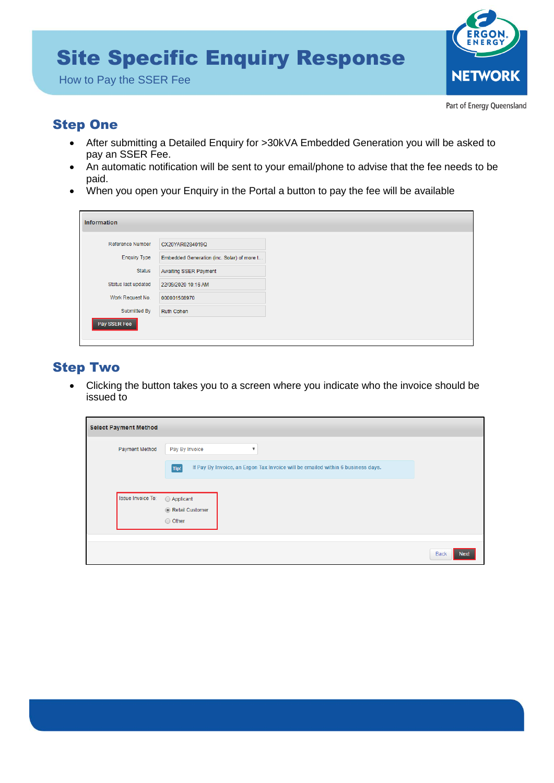# Site Specific Enquiry Response

How to Pay the SSER Fee



Part of Energy Queensland

### Step One

- • After submitting a Detailed Enquiry for >30kVA Embedded Generation you will be asked to pay an SSER Fee.
- • An automatic notification will be sent to your email/phone to advise that the fee needs to be paid.
- When you open your Enquiry in the Portal a button to pay the fee will be available

| <b>Reference Number</b> | CX20YAR0284019Q                            |
|-------------------------|--------------------------------------------|
| <b>Enquiry Type</b>     | Embedded Generation (inc. Solar) of more t |
| <b>Status</b>           | Awaiting SSER Payment                      |
| Status last updated     | 22/09/2020 10:16 AM                        |
| Work Request No.        | 000001508970                               |
| Submitted By            | <b>Ruth Cohen</b>                          |
| Pay SSER Fee            |                                            |

### Step Two

 • Clicking the button takes you to a screen where you indicate who the invoice should be issued to

| <b>Select Payment Method</b> |                                                                                         |                     |
|------------------------------|-----------------------------------------------------------------------------------------|---------------------|
| Payment Method               | Pay By Invoice<br>$\overline{\mathbf{v}}$                                               |                     |
|                              | If Pay By Invoice, an Ergon Tax Invoice will be emailed within 6 business days.<br>Tip! |                     |
| Issue Invoice To:            | Applicant                                                                               |                     |
|                              | Retail Customer                                                                         |                     |
|                              | O Other                                                                                 |                     |
|                              |                                                                                         | Back<br><b>Next</b> |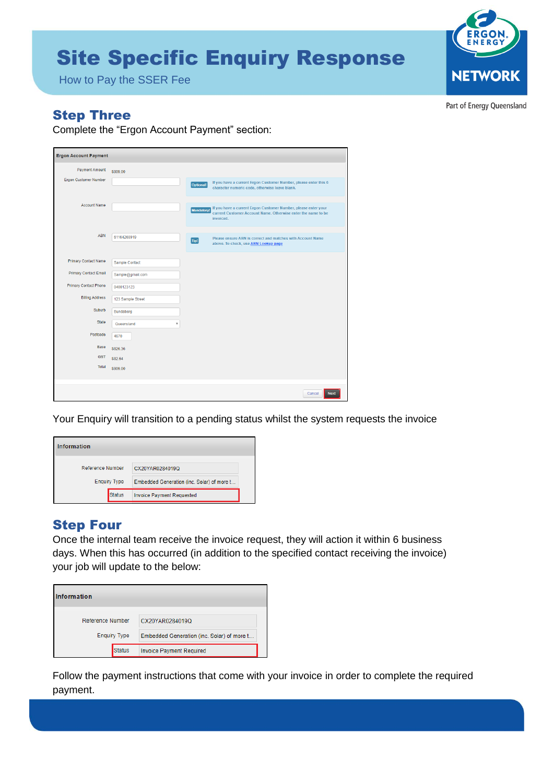## **Site Specific Enquiry Response**



How to Pay the SSER Fee

Part of Energy Queensland

#### **Step Three**

Complete the "Ergon Account Payment" section:

| <b>Ergon Account Payment</b>                                                         |                   |                                                                  |                                                                                                                                              |
|--------------------------------------------------------------------------------------|-------------------|------------------------------------------------------------------|----------------------------------------------------------------------------------------------------------------------------------------------|
| <b>Payment Amount</b>                                                                | \$909.00          |                                                                  |                                                                                                                                              |
| Ergon Customer Number<br>Optional!<br>character numeric code, otherwise leave blank. |                   | If you have a current Ergon Customer Number, please enter this 6 |                                                                                                                                              |
| <b>Account Name</b>                                                                  |                   | Mandatory!                                                       | If you have a current Ergon Customer Number, please enter your<br>current Customer Account Name. Otherwise enter the name to be<br>invoiced. |
| <b>ABN</b>                                                                           | 61164268919       | Tip!                                                             | Please ensure ABN is correct and matches with Account Name<br>above. To check, use ABN Lookup page                                           |
| <b>Primary Contact Name</b>                                                          | Sample Contact    |                                                                  |                                                                                                                                              |
| <b>Primary Contact Email</b>                                                         | Sample@gmail.com  |                                                                  |                                                                                                                                              |
| <b>Primary Contact Phone</b>                                                         | 0400123123        |                                                                  |                                                                                                                                              |
| <b>Billing Address</b>                                                               | 123 Sample Street |                                                                  |                                                                                                                                              |
| Suburb                                                                               | Bundaberg         |                                                                  |                                                                                                                                              |
| <b>State</b>                                                                         | Queensland<br>v   |                                                                  |                                                                                                                                              |
| Postcode                                                                             | 4670              |                                                                  |                                                                                                                                              |
| Base                                                                                 | S826.36           |                                                                  |                                                                                                                                              |
| <b>GST</b>                                                                           | \$82.64           |                                                                  |                                                                                                                                              |
| Total                                                                                | \$909.00          |                                                                  |                                                                                                                                              |
|                                                                                      |                   |                                                                  | <b>Next</b><br>Cancel                                                                                                                        |

Your Enquiry will transition to a pending status whilst the system requests the invoice

| Information             |                                            |
|-------------------------|--------------------------------------------|
| <b>Reference Number</b> | CX20YAR0284019Q                            |
| <b>Enquiry Type</b>     | Embedded Generation (inc. Solar) of more t |
| <b>Status</b>           | <b>Invoice Payment Requested</b>           |

#### **Step Four**

Once the internal team receive the invoice request, they will action it within 6 business days. When this has occurred (in addition to the specified contact receiving the invoice) your job will update to the below:

| Information             |                                            |
|-------------------------|--------------------------------------------|
| <b>Reference Number</b> | CX20YAR0284019Q                            |
| <b>Enquiry Type</b>     | Embedded Generation (inc. Solar) of more t |
| <b>Status</b>           | Invoice Payment Required                   |

Follow the payment instructions that come with your invoice in order to complete the required payment.